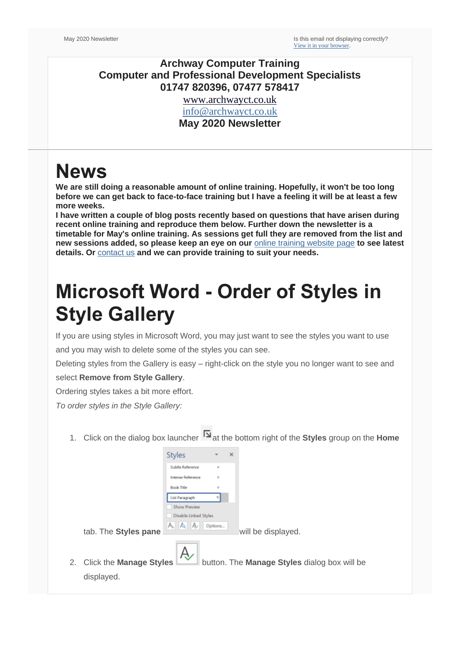#### **Archway Computer Training Computer and Professional Development Specialists 01747 820396, 07477 578417**

[www.archwayct.co.uk](http://www.archwayct.co.uk/) [info@archwayct.co.uk](mailto:%20info@archwayct.co.uk)

**May 2020 Newsletter**

### **News**

**We are still doing a reasonable amount of online training. Hopefully, it won't be too long before we can get back to face-to-face training but I have a feeling it will be at least a few more weeks.**

**I have written a couple of blog posts recently based on questions that have arisen during recent online training and reproduce them below. Further down the newsletter is a timetable for May's online training. As sessions get full they are removed from the list and new sessions added, so please keep an eye on our** [online training website page](http://www.archwayct.co.uk/online-training) **to see latest details. Or** [contact us](mailto:janet@archwayct.co.uk?subject=Online%20training) **and we can provide training to suit your needs.**

# **Microsoft Word - Order of Styles in Style Gallery**

If you are using styles in Microsoft Word, you may just want to see the styles you want to use and you may wish to delete some of the styles you can see.

Deleting styles from the Gallery is easy – right-click on the style you no longer want to see and select **Remove from Style Gallery**.

Ordering styles takes a bit more effort.

*To order styles in the Style Gallery:*

1. Click on the dialog box launcherat the bottom right of the **Styles** group on the **Home**

|    |                         | <b>Styles</b>         |                                              | $\times$           |
|----|-------------------------|-----------------------|----------------------------------------------|--------------------|
|    |                         | Subtle Reference      | ä,                                           |                    |
|    |                         | Intense Reference     | a                                            |                    |
|    |                         | Book Title            |                                              |                    |
|    |                         | List Paragraph        |                                              |                    |
|    |                         | Show Preview          |                                              |                    |
|    |                         | Disable Linked Styles |                                              |                    |
|    | tab. The Styles pane    | A.                    | Options                                      | will be displayed. |
|    |                         |                       |                                              |                    |
| 2. | Click the Manage Styles | A)                    | button. The Manage Styles dialog box will be |                    |
|    |                         |                       |                                              |                    |
|    | displayed.              |                       |                                              |                    |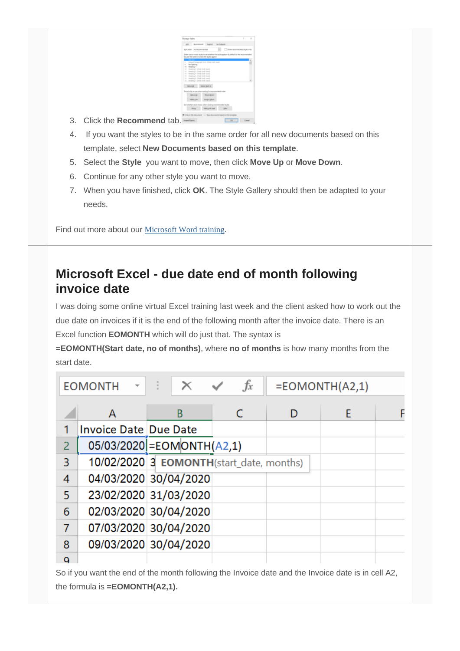

- 3. Click the **Recommend** tab.
- 4. If you want the styles to be in the same order for all new documents based on this template, select **New Documents based on this template**.
- 5. Select the **Style** you want to move, then click **Move Up** or **Move Down**.
- 6. Continue for any other style you want to move.
- 7. When you have finished, click **OK**. The Style Gallery should then be adapted to your needs.

Find out more about our [Microsoft Word training](http://www.archwayct.co.uk/microsoft-office-training/microsoft-word-training).

### **Microsoft Excel - due date end of month following invoice date**

I was doing some online virtual Excel training last week and the client asked how to work out the due date on invoices if it is the end of the following month after the invoice date. There is an Excel function **EOMONTH** which will do just that. The syntax is

**=EOMONTH(Start date, no of months)**, where **no of months** is how many months from the start date.

|                | <b>EOMONTH</b>               | $\times$ $\checkmark$                    | $f_x$      |   | $= EOMONTH(A2,1)$ |  |
|----------------|------------------------------|------------------------------------------|------------|---|-------------------|--|
|                | A                            | B                                        | $\epsilon$ | D | E                 |  |
|                | <b>Invoice Date Due Date</b> |                                          |            |   |                   |  |
| $\overline{2}$ |                              | 05/03/2020 = EOMONTH(A2,1)               |            |   |                   |  |
| 3              |                              | 10/02/2020 3 EOMONTH(start date, months) |            |   |                   |  |
| 4              |                              | 04/03/2020 30/04/2020                    |            |   |                   |  |
| 5              |                              | 23/02/2020 31/03/2020                    |            |   |                   |  |
| 6              |                              | 02/03/2020 30/04/2020                    |            |   |                   |  |
|                |                              | 07/03/2020 30/04/2020                    |            |   |                   |  |
| 8              |                              | 09/03/2020 30/04/2020                    |            |   |                   |  |
| a              |                              |                                          |            |   |                   |  |

So if you want the end of the month following the Invoice date and the Invoice date is in cell A2, the formula is **=EOMONTH(A2,1).**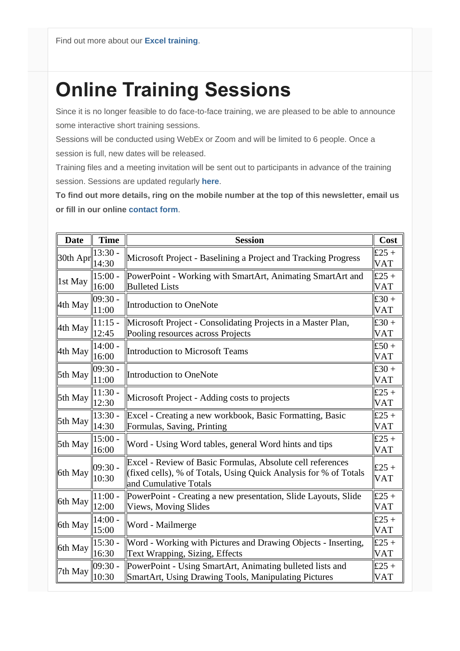# **Online Training Sessions**

Since it is no longer feasible to do face-to-face training, we are pleased to be able to announce some interactive short training sessions.

Sessions will be conducted using WebEx or Zoom and will be limited to 6 people. Once a session is full, new dates will be released.

Training files and a meeting invitation will be sent out to participants in advance of the training session. Sessions are updated regularly **[here](http://www.archwayct.co.uk/online-training)**.

**To find out more details, ring on the mobile number at the top of this newsletter, email us or fill in our online [contact form](http://www.jmdtraining.co.uk/contact-us)**.

| <b>Date</b> | <b>Time</b>        | <b>Session</b>                                                                                                                                          | Cost                |
|-------------|--------------------|---------------------------------------------------------------------------------------------------------------------------------------------------------|---------------------|
| 30th Apr    | $13:30 -$<br>14:30 | Microsoft Project - Baselining a Project and Tracking Progress                                                                                          | £25 +<br><b>VAT</b> |
| 1st May     | $15:00 -$<br>16:00 | PowerPoint - Working with SmartArt, Animating SmartArt and<br><b>Bulleted Lists</b>                                                                     | £25 +<br><b>VAT</b> |
| 4th May     | $09:30 -$<br>11:00 | Introduction to OneNote                                                                                                                                 | £30 +<br><b>VAT</b> |
| 4th May     | $11:15$ -<br>12:45 | Microsoft Project - Consolidating Projects in a Master Plan,<br>Pooling resources across Projects                                                       | £30 +<br><b>VAT</b> |
| 4th May     | $14:00 -$<br>16:00 | Introduction to Microsoft Teams                                                                                                                         | £50 +<br><b>VAT</b> |
| 5th May     | $09:30 -$<br>11:00 | Introduction to OneNote                                                                                                                                 | £30 +<br><b>VAT</b> |
| 5th May     | 11:30 -<br>12:30   | Microsoft Project - Adding costs to projects                                                                                                            | £25 +<br><b>VAT</b> |
| 5th May     | $13:30 -$<br>14:30 | Excel - Creating a new workbook, Basic Formatting, Basic<br>Formulas, Saving, Printing                                                                  | £25 +<br><b>VAT</b> |
| 5th May     | $15:00 -$<br>16:00 | Word - Using Word tables, general Word hints and tips                                                                                                   | £25 +<br><b>VAT</b> |
| 6th May     | $09:30 -$<br>10:30 | Excel - Review of Basic Formulas, Absolute cell references<br>(fixed cells), % of Totals, Using Quick Analysis for % of Totals<br>and Cumulative Totals | £25 +<br><b>VAT</b> |
| 6th May     | $11:00 -$<br>12:00 | PowerPoint - Creating a new presentation, Slide Layouts, Slide<br>Views, Moving Slides                                                                  | £25 +<br><b>VAT</b> |
| 6th May     | $14:00 -$<br>15:00 | Word - Mailmerge                                                                                                                                        | £25 +<br><b>VAT</b> |
| 6th May     | $15:30 -$<br>16:30 | Word - Working with Pictures and Drawing Objects - Inserting,<br>Text Wrapping, Sizing, Effects                                                         | £25 +<br><b>VAT</b> |
| 7th May     | $09:30 -$<br>10:30 | PowerPoint - Using SmartArt, Animating bulleted lists and<br>SmartArt, Using Drawing Tools, Manipulating Pictures                                       | £25 +<br><b>VAT</b> |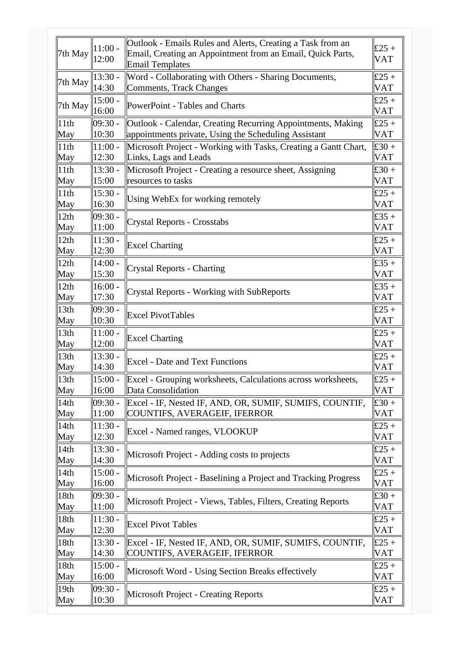|                  | $11:00 -$          | Outlook - Emails Rules and Alerts, Creating a Task from an                           | £25 +               |
|------------------|--------------------|--------------------------------------------------------------------------------------|---------------------|
| 7th May          | 12:00              | Email, Creating an Appointment from an Email, Quick Parts,<br><b>Email Templates</b> | <b>VAT</b>          |
|                  | $13:30 -$          | Word - Collaborating with Others - Sharing Documents,                                | £25 +               |
| 7th May          | 14:30              | Comments, Track Changes                                                              | <b>VAT</b>          |
| 7th May          | $15:00 -$          | PowerPoint - Tables and Charts                                                       | £25 +               |
|                  | 16:00              |                                                                                      | <b>VAT</b>          |
| 11th             | $09:30 -$          | Outlook - Calendar, Creating Recurring Appointments, Making                          | £25 +               |
| May              | 10:30              | appointments private, Using the Scheduling Assistant                                 | <b>VAT</b>          |
| 11th             | $11:00 -$          | Microsoft Project - Working with Tasks, Creating a Gantt Chart,                      | £30 +               |
| May              | 12:30              | Links, Lags and Leads                                                                | <b>VAT</b>          |
| 11th<br>May      | $13:30 -$<br>15:00 | Microsoft Project - Creating a resource sheet, Assigning<br>resources to tasks       | £30 +<br><b>VAT</b> |
| 11th             | $15:30 -$          |                                                                                      | £25 +               |
| May              | 16:30              | Using WebEx for working remotely                                                     | <b>VAT</b>          |
| 12th             | $09:30 -$          |                                                                                      | £35 +               |
| May              | 11:00              | <b>Crystal Reports - Crosstabs</b>                                                   | <b>VAT</b>          |
| 12th             | $11:30 -$          |                                                                                      | £25 +               |
| May              | 12:30              | <b>Excel Charting</b>                                                                | <b>VAT</b>          |
| 12th             | 14:00.             |                                                                                      | £35 +               |
| May              | 15:30              | <b>Crystal Reports - Charting</b>                                                    | <b>VAT</b>          |
| 12th             | $16:00 -$          | <b>Crystal Reports - Working with SubReports</b>                                     | £35 +               |
| May              | 17:30              |                                                                                      | <b>VAT</b>          |
| 13th             | $09:30 -$          | <b>Excel PivotTables</b>                                                             | £25 +               |
| May              | 10:30              |                                                                                      | <b>VAT</b>          |
| 13th             | $11:00 -$          | <b>Excel Charting</b>                                                                | £25 +               |
| May              | 12:00              |                                                                                      | <b>VAT</b>          |
| 13th<br>May      | $13:30 -$<br>14:30 | <b>Excel - Date and Text Functions</b>                                               | £25 +<br><b>VAT</b> |
| 13th             | $15:00 -$          | Excel - Grouping worksheets, Calculations across worksheets,                         | £25 +               |
| May              | 16:00              | Data Consolidation                                                                   | <b>VAT</b>          |
| 14th             | $09:30 -$          | Excel - IF, Nested IF, AND, OR, SUMIF, SUMIFS, COUNTIF,                              | £30 +               |
| May              | 11:00              | COUNTIFS, AVERAGEIF, IFERROR                                                         | <b>VAT</b>          |
| 14th             | $11:30 -$          |                                                                                      | £25 +               |
| May              | 12:30              | Excel - Named ranges, VLOOKUP                                                        | <b>VAT</b>          |
| 14th             | $13:30 -$          | Microsoft Project - Adding costs to projects                                         | £25 +               |
| May              | 14:30              |                                                                                      | <b>VAT</b>          |
| 14th             | $15:00 -$          | Microsoft Project - Baselining a Project and Tracking Progress                       | £25 +               |
| May              | 16:00              |                                                                                      | VAT                 |
| 18th<br>May      | $09:30 -$<br>11:00 | Microsoft Project - Views, Tables, Filters, Creating Reports                         | £30 +<br>VAT        |
| 18th             | $11:30 -$          |                                                                                      | £25 +               |
| May              | 12:30              | <b>Excel Pivot Tables</b>                                                            | <b>VAT</b>          |
| 18th             | $13:30 -$          | Excel - IF, Nested IF, AND, OR, SUMIF, SUMIFS, COUNTIF,                              | £25 +               |
| May              | 14:30              | COUNTIFS, AVERAGEIF, IFERROR                                                         | <b>VAT</b>          |
| 18th             | $15:00 -$          | Microsoft Word - Using Section Breaks effectively                                    | £25 +               |
| May              | 16:00              |                                                                                      | <b>VAT</b>          |
| 19 <sub>th</sub> | $09:30 -$          | Microsoft Project - Creating Reports                                                 | £25 +               |
| May              | 10:30              |                                                                                      | VAT                 |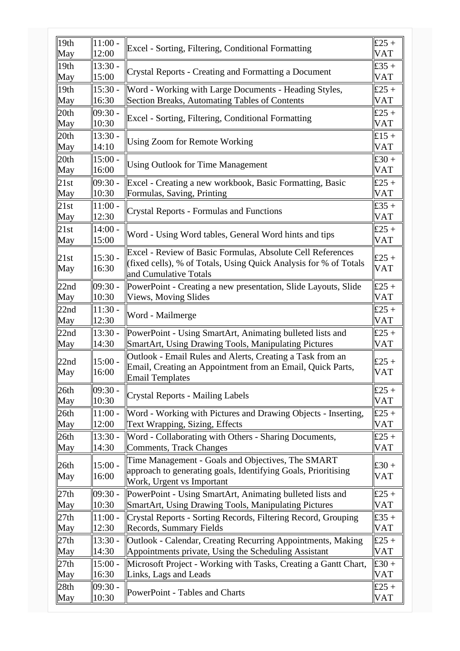| 19 <sub>th</sub> | $11:00 -$                    | Excel - Sorting, Filtering, Conditional Formatting                                                                                                      | £25 +               |
|------------------|------------------------------|---------------------------------------------------------------------------------------------------------------------------------------------------------|---------------------|
| May              | 12:00                        |                                                                                                                                                         | <b>VAT</b>          |
| 19th             | $13:30 -$                    | Crystal Reports - Creating and Formatting a Document                                                                                                    | £35 $+$             |
| May              | 15:00                        |                                                                                                                                                         | <b>VAT</b>          |
| 19th             | $\parallel$ 15:30 -          | Word - Working with Large Documents - Heading Styles,                                                                                                   | £25 +               |
| May              | 16:30                        | Section Breaks, Automating Tables of Contents                                                                                                           | VAT                 |
| 20th             | $09:30 -$                    | Excel - Sorting, Filtering, Conditional Formatting                                                                                                      | £25 +               |
| May              | 10:30                        |                                                                                                                                                         | VAT                 |
| 20th             | $13:30 -$                    | <b>Using Zoom for Remote Working</b>                                                                                                                    | £15 +               |
| May              | 14:10                        |                                                                                                                                                         | VAT                 |
| 20th             | $\parallel 15:00$ -          | <b>Using Outlook for Time Management</b>                                                                                                                | £30 +               |
| May              | 16:00                        |                                                                                                                                                         | VAT                 |
| 21st             | $ 09:30 -$                   | Excel - Creating a new workbook, Basic Formatting, Basic                                                                                                | £25 +               |
| May              | 10:30                        | Formulas, Saving, Printing                                                                                                                              | VAT                 |
| 21st             | $11:00 -$                    | <b>Crystal Reports - Formulas and Functions</b>                                                                                                         | £35 $+$             |
| May              | 12:30                        |                                                                                                                                                         | VAT                 |
| 21st             | $14:00 -$                    | Word - Using Word tables, General Word hints and tips                                                                                                   | £25 +               |
| May              | 15:00                        |                                                                                                                                                         | VAT                 |
| 21st<br>May      | $15:30 -$<br>16:30           | Excel - Review of Basic Formulas, Absolute Cell References<br>(fixed cells), % of Totals, Using Quick Analysis for % of Totals<br>and Cumulative Totals | £25 +<br><b>VAT</b> |
| 22nd             | 109:30 -                     | PowerPoint - Creating a new presentation, Slide Layouts, Slide                                                                                          | £25 +               |
| May              | 10:30                        | Views, Moving Slides                                                                                                                                    | <b>VAT</b>          |
| 22nd             | $\parallel$ 11:30 $\cdot$    | Word - Mailmerge                                                                                                                                        | £25 +               |
| May              | 12:30                        |                                                                                                                                                         | <b>VAT</b>          |
| 22nd             | $\parallel$ 13:30 -          | PowerPoint - Using SmartArt, Animating bulleted lists and                                                                                               | £25 +               |
| May              | 14:30                        | SmartArt, Using Drawing Tools, Manipulating Pictures                                                                                                    | VAT                 |
| 22nd<br>May      | $\parallel 15:00$ -<br>16:00 | Outlook - Email Rules and Alerts, Creating a Task from an<br>Email, Creating an Appointment from an Email, Quick Parts,<br><b>Email Templates</b>       | £25 +<br>VAT        |
| 26th             | $ 09:30 -$                   | <b>Crystal Reports - Mailing Labels</b>                                                                                                                 | £25 +               |
| May              | 10:30                        |                                                                                                                                                         | VAT                 |
| 26th             | $11:00 -$                    | Word - Working with Pictures and Drawing Objects - Inserting,                                                                                           | £25 +               |
| May              | 12:00                        | Text Wrapping, Sizing, Effects                                                                                                                          | <b>VAT</b>          |
| 26th             | $\parallel$ 13:30 -          | Word - Collaborating with Others - Sharing Documents,                                                                                                   | £25 +               |
| May              | 14:30                        | <b>Comments, Track Changes</b>                                                                                                                          | VAT                 |
| 26th<br>May      | $15:00 -$<br>16:00           | Time Management - Goals and Objectives, The SMART<br>approach to generating goals, Identifying Goals, Prioritising<br>Work, Urgent vs Important         | £30 +<br><b>VAT</b> |
| 27th             | $ 09:30 -$                   | PowerPoint - Using SmartArt, Animating bulleted lists and                                                                                               | £25 +               |
| May              | 10:30                        | SmartArt, Using Drawing Tools, Manipulating Pictures                                                                                                    | VAT                 |
| 27th             | $11:00 -$                    | Crystal Reports - Sorting Records, Filtering Record, Grouping                                                                                           | £35 $+$             |
| May              | 12:30                        | Records, Summary Fields                                                                                                                                 | <b>VAT</b>          |
| 27th             | $13:30 -$                    | Outlook - Calendar, Creating Recurring Appointments, Making                                                                                             | £25 +               |
| May              | 14:30                        | Appointments private, Using the Scheduling Assistant                                                                                                    | VAT                 |
| 27th             | $15:00 -$                    | Microsoft Project - Working with Tasks, Creating a Gantt Chart,                                                                                         | £30 +               |
| May              | 16:30                        | Links, Lags and Leads                                                                                                                                   | <b>VAT</b>          |
| 28 <sub>th</sub> | $ 09:30 -$                   | PowerPoint - Tables and Charts                                                                                                                          | £25 +               |
| May              | 10:30                        |                                                                                                                                                         | <b>VAT</b>          |
|                  |                              |                                                                                                                                                         |                     |